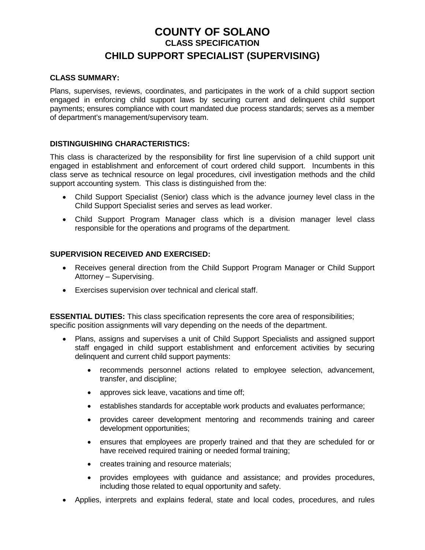# **COUNTY OF SOLANO CLASS SPECIFICATION CHILD SUPPORT SPECIALIST (SUPERVISING)**

#### **CLASS SUMMARY:**

Plans, supervises, reviews, coordinates, and participates in the work of a child support section engaged in enforcing child support laws by securing current and delinquent child support payments; ensures compliance with court mandated due process standards; serves as a member of department's management/supervisory team.

# **DISTINGUISHING CHARACTERISTICS:**

This class is characterized by the responsibility for first line supervision of a child support unit engaged in establishment and enforcement of court ordered child support. Incumbents in this class serve as technical resource on legal procedures, civil investigation methods and the child support accounting system. This class is distinguished from the:

- Child Support Specialist (Senior) class which is the advance journey level class in the Child Support Specialist series and serves as lead worker.
- Child Support Program Manager class which is a division manager level class responsible for the operations and programs of the department.

## **SUPERVISION RECEIVED AND EXERCISED:**

- Receives general direction from the Child Support Program Manager or Child Support Attorney – Supervising.
- Exercises supervision over technical and clerical staff.

**ESSENTIAL DUTIES:** This class specification represents the core area of responsibilities; specific position assignments will vary depending on the needs of the department.

- Plans, assigns and supervises a unit of Child Support Specialists and assigned support staff engaged in child support establishment and enforcement activities by securing delinquent and current child support payments:
	- recommends personnel actions related to employee selection, advancement, transfer, and discipline;
	- approves sick leave, vacations and time off;
	- establishes standards for acceptable work products and evaluates performance;
	- provides career development mentoring and recommends training and career development opportunities;
	- ensures that employees are properly trained and that they are scheduled for or have received required training or needed formal training;
	- creates training and resource materials;
	- provides employees with guidance and assistance; and provides procedures, including those related to equal opportunity and safety.
- Applies, interprets and explains federal, state and local codes, procedures, and rules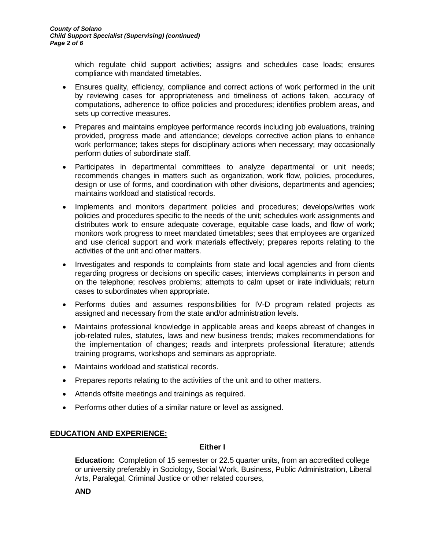which regulate child support activities; assigns and schedules case loads; ensures compliance with mandated timetables.

- Ensures quality, efficiency, compliance and correct actions of work performed in the unit by reviewing cases for appropriateness and timeliness of actions taken, accuracy of computations, adherence to office policies and procedures; identifies problem areas, and sets up corrective measures.
- Prepares and maintains employee performance records including job evaluations, training provided, progress made and attendance; develops corrective action plans to enhance work performance; takes steps for disciplinary actions when necessary; may occasionally perform duties of subordinate staff.
- Participates in departmental committees to analyze departmental or unit needs; recommends changes in matters such as organization, work flow, policies, procedures, design or use of forms, and coordination with other divisions, departments and agencies; maintains workload and statistical records.
- Implements and monitors department policies and procedures; develops/writes work policies and procedures specific to the needs of the unit; schedules work assignments and distributes work to ensure adequate coverage, equitable case loads, and flow of work; monitors work progress to meet mandated timetables; sees that employees are organized and use clerical support and work materials effectively; prepares reports relating to the activities of the unit and other matters.
- Investigates and responds to complaints from state and local agencies and from clients regarding progress or decisions on specific cases; interviews complainants in person and on the telephone; resolves problems; attempts to calm upset or irate individuals; return cases to subordinates when appropriate.
- Performs duties and assumes responsibilities for IV-D program related projects as assigned and necessary from the state and/or administration levels.
- Maintains professional knowledge in applicable areas and keeps abreast of changes in job-related rules, statutes, laws and new business trends; makes recommendations for the implementation of changes; reads and interprets professional literature; attends training programs, workshops and seminars as appropriate.
- Maintains workload and statistical records.
- Prepares reports relating to the activities of the unit and to other matters.
- Attends offsite meetings and trainings as required.
- Performs other duties of a similar nature or level as assigned.

# **EDUCATION AND EXPERIENCE:**

#### **Either I**

**Education:** Completion of 15 semester or 22.5 quarter units, from an accredited college or university preferably in Sociology, Social Work, Business, Public Administration, Liberal Arts, Paralegal, Criminal Justice or other related courses,

**AND**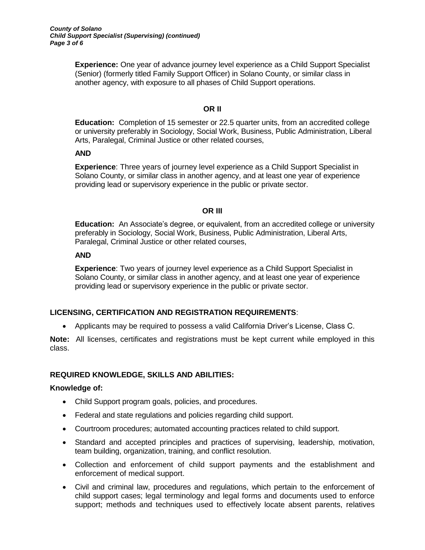**Experience:** One year of advance journey level experience as a Child Support Specialist (Senior) (formerly titled Family Support Officer) in Solano County, or similar class in another agency, with exposure to all phases of Child Support operations.

## **OR II**

**Education:** Completion of 15 semester or 22.5 quarter units, from an accredited college or university preferably in Sociology, Social Work, Business, Public Administration, Liberal Arts, Paralegal, Criminal Justice or other related courses,

## **AND**

**Experience**: Three years of journey level experience as a Child Support Specialist in Solano County, or similar class in another agency, and at least one year of experience providing lead or supervisory experience in the public or private sector.

#### **OR III**

**Education:** An Associate's degree, or equivalent, from an accredited college or university preferably in Sociology, Social Work, Business, Public Administration, Liberal Arts, Paralegal, Criminal Justice or other related courses,

## **AND**

**Experience**: Two years of journey level experience as a Child Support Specialist in Solano County, or similar class in another agency, and at least one year of experience providing lead or supervisory experience in the public or private sector.

# **LICENSING, CERTIFICATION AND REGISTRATION REQUIREMENTS**:

Applicants may be required to possess a valid California Driver's License, Class C.

**Note:** All licenses, certificates and registrations must be kept current while employed in this class.

# **REQUIRED KNOWLEDGE, SKILLS AND ABILITIES:**

#### **Knowledge of:**

- Child Support program goals, policies, and procedures.
- Federal and state regulations and policies regarding child support.
- Courtroom procedures; automated accounting practices related to child support.
- Standard and accepted principles and practices of supervising, leadership, motivation, team building, organization, training, and conflict resolution.
- Collection and enforcement of child support payments and the establishment and enforcement of medical support.
- Civil and criminal law, procedures and regulations, which pertain to the enforcement of child support cases; legal terminology and legal forms and documents used to enforce support; methods and techniques used to effectively locate absent parents, relatives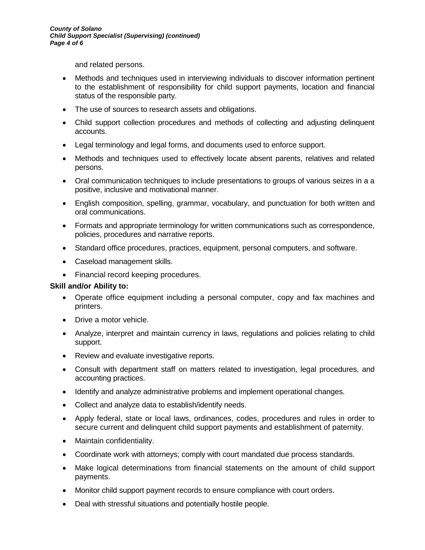and related persons.

- Methods and techniques used in interviewing individuals to discover information pertinent to the establishment of responsibility for child support payments, location and financial status of the responsible party.
- The use of sources to research assets and obligations.
- Child support collection procedures and methods of collecting and adjusting delinquent accounts.
- Legal terminology and legal forms, and documents used to enforce support.
- Methods and techniques used to effectively locate absent parents, relatives and related persons.
- Oral communication techniques to include presentations to groups of various seizes in a a positive, inclusive and motivational manner.
- English composition, spelling, grammar, vocabulary, and punctuation for both written and oral communications.
- Formats and appropriate terminology for written communications such as correspondence, policies, procedures and narrative reports.
- Standard office procedures, practices, equipment, personal computers, and software.
- Caseload management skills.
- Financial record keeping procedures.

# **Skill and/or Ability to:**

- Operate office equipment including a personal computer, copy and fax machines and printers.
- Drive a motor vehicle.
- Analyze, interpret and maintain currency in laws, regulations and policies relating to child support.
- Review and evaluate investigative reports.
- Consult with department staff on matters related to investigation, legal procedures, and accounting practices.
- Identify and analyze administrative problems and implement operational changes.
- Collect and analyze data to establish/identify needs.
- Apply federal, state or local laws, ordinances, codes, procedures and rules in order to secure current and delinquent child support payments and establishment of paternity.
- Maintain confidentiality.
- Coordinate work with attorneys; comply with court mandated due process standards.
- Make logical determinations from financial statements on the amount of child support payments.
- Monitor child support payment records to ensure compliance with court orders.
- Deal with stressful situations and potentially hostile people.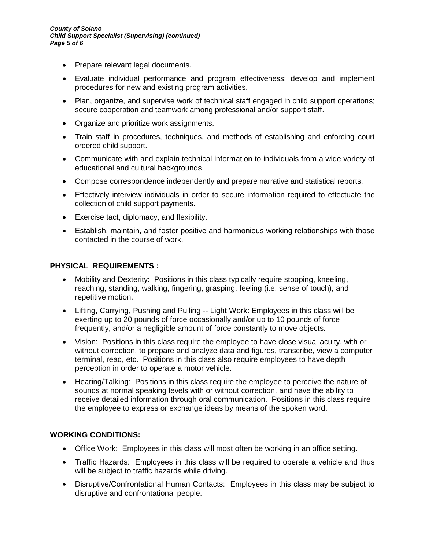- Prepare relevant legal documents.
- Evaluate individual performance and program effectiveness; develop and implement procedures for new and existing program activities.
- Plan, organize, and supervise work of technical staff engaged in child support operations; secure cooperation and teamwork among professional and/or support staff.
- Organize and prioritize work assignments.
- Train staff in procedures, techniques, and methods of establishing and enforcing court ordered child support.
- Communicate with and explain technical information to individuals from a wide variety of educational and cultural backgrounds.
- Compose correspondence independently and prepare narrative and statistical reports.
- Effectively interview individuals in order to secure information required to effectuate the collection of child support payments.
- Exercise tact, diplomacy, and flexibility.
- Establish, maintain, and foster positive and harmonious working relationships with those contacted in the course of work.

## **PHYSICAL REQUIREMENTS :**

- Mobility and Dexterity: Positions in this class typically require stooping, kneeling, reaching, standing, walking, fingering, grasping, feeling (i.e. sense of touch), and repetitive motion.
- Lifting, Carrying, Pushing and Pulling -- Light Work: Employees in this class will be exerting up to 20 pounds of force occasionally and/or up to 10 pounds of force frequently, and/or a negligible amount of force constantly to move objects.
- Vision: Positions in this class require the employee to have close visual acuity, with or without correction, to prepare and analyze data and figures, transcribe, view a computer terminal, read, etc. Positions in this class also require employees to have depth perception in order to operate a motor vehicle.
- Hearing/Talking: Positions in this class require the employee to perceive the nature of sounds at normal speaking levels with or without correction, and have the ability to receive detailed information through oral communication. Positions in this class require the employee to express or exchange ideas by means of the spoken word.

# **WORKING CONDITIONS:**

- Office Work: Employees in this class will most often be working in an office setting.
- Traffic Hazards: Employees in this class will be required to operate a vehicle and thus will be subject to traffic hazards while driving.
- Disruptive/Confrontational Human Contacts: Employees in this class may be subject to disruptive and confrontational people.